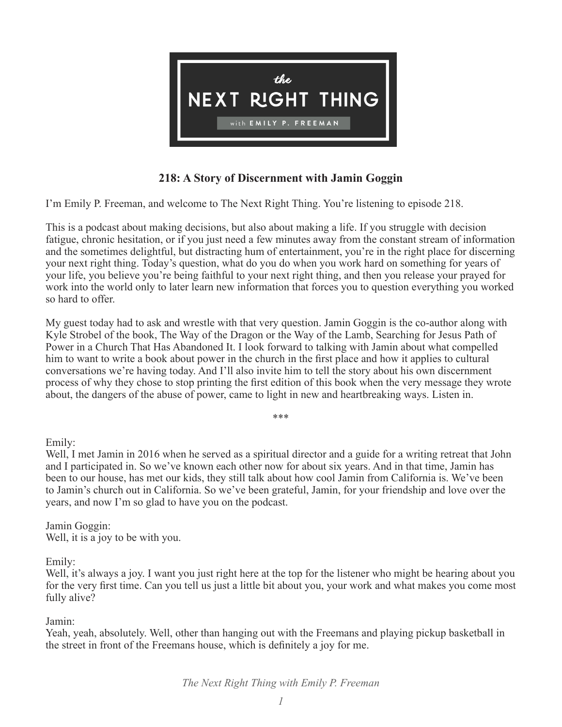

# **218: A Story of Discernment with Jamin Goggin**

I'm Emily P. Freeman, and welcome to The Next Right Thing. You're listening to episode 218.

This is a podcast about making decisions, but also about making a life. If you struggle with decision fatigue, chronic hesitation, or if you just need a few minutes away from the constant stream of information and the sometimes delightful, but distracting hum of entertainment, you're in the right place for discerning your next right thing. Today's question, what do you do when you work hard on something for years of your life, you believe you're being faithful to your next right thing, and then you release your prayed for work into the world only to later learn new information that forces you to question everything you worked so hard to offer.

My guest today had to ask and wrestle with that very question. Jamin Goggin is the co-author along with Kyle Strobel of the book, The Way of the Dragon or the Way of the Lamb, Searching for Jesus Path of Power in a Church That Has Abandoned It. I look forward to talking with Jamin about what compelled him to want to write a book about power in the church in the first place and how it applies to cultural conversations we're having today. And I'll also invite him to tell the story about his own discernment process of why they chose to stop printing the first edition of this book when the very message they wrote about, the dangers of the abuse of power, came to light in new and heartbreaking ways. Listen in.

\*\*\*

Emily:

Well, I met Jamin in 2016 when he served as a spiritual director and a guide for a writing retreat that John and I participated in. So we've known each other now for about six years. And in that time, Jamin has been to our house, has met our kids, they still talk about how cool Jamin from California is. We've been to Jamin's church out in California. So we've been grateful, Jamin, for your friendship and love over the years, and now I'm so glad to have you on the podcast.

Jamin Goggin: Well, it is a joy to be with you.

Emily:

Well, it's always a joy. I want you just right here at the top for the listener who might be hearing about you for the very first time. Can you tell us just a little bit about you, your work and what makes you come most fully alive?

Jamin:

Yeah, yeah, absolutely. Well, other than hanging out with the Freemans and playing pickup basketball in the street in front of the Freemans house, which is definitely a joy for me.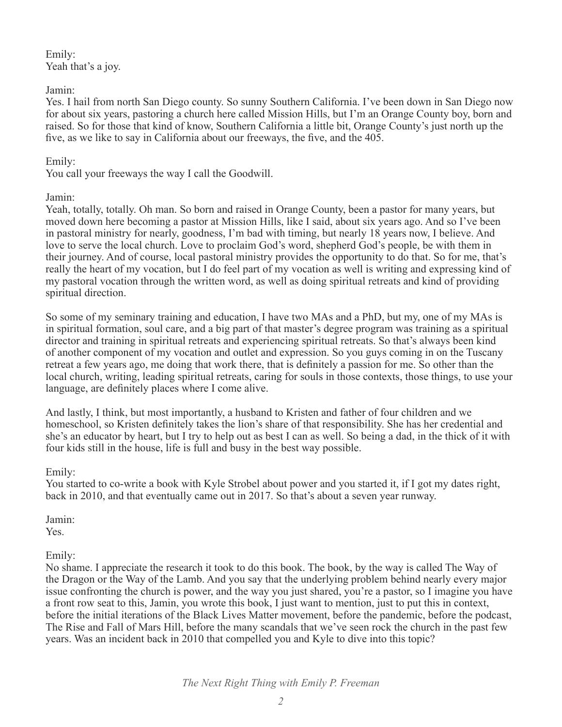Emily: Yeah that's a joy.

# Jamin:

Yes. I hail from north San Diego county. So sunny Southern California. I've been down in San Diego now for about six years, pastoring a church here called Mission Hills, but I'm an Orange County boy, born and raised. So for those that kind of know, Southern California a little bit, Orange County's just north up the five, as we like to say in California about our freeways, the five, and the 405.

# Emily:

You call your freeways the way I call the Goodwill.

## Jamin:

Yeah, totally, totally. Oh man. So born and raised in Orange County, been a pastor for many years, but moved down here becoming a pastor at Mission Hills, like I said, about six years ago. And so I've been in pastoral ministry for nearly, goodness, I'm bad with timing, but nearly 18 years now, I believe. And love to serve the local church. Love to proclaim God's word, shepherd God's people, be with them in their journey. And of course, local pastoral ministry provides the opportunity to do that. So for me, that's really the heart of my vocation, but I do feel part of my vocation as well is writing and expressing kind of my pastoral vocation through the written word, as well as doing spiritual retreats and kind of providing spiritual direction.

So some of my seminary training and education, I have two MAs and a PhD, but my, one of my MAs is in spiritual formation, soul care, and a big part of that master's degree program was training as a spiritual director and training in spiritual retreats and experiencing spiritual retreats. So that's always been kind of another component of my vocation and outlet and expression. So you guys coming in on the Tuscany retreat a few years ago, me doing that work there, that is definitely a passion for me. So other than the local church, writing, leading spiritual retreats, caring for souls in those contexts, those things, to use your language, are definitely places where I come alive.

And lastly, I think, but most importantly, a husband to Kristen and father of four children and we homeschool, so Kristen definitely takes the lion's share of that responsibility. She has her credential and she's an educator by heart, but I try to help out as best I can as well. So being a dad, in the thick of it with four kids still in the house, life is full and busy in the best way possible.

#### Emily:

You started to co-write a book with Kyle Strobel about power and you started it, if I got my dates right, back in 2010, and that eventually came out in 2017. So that's about a seven year runway.

Jamin:

Yes.

Emily:

No shame. I appreciate the research it took to do this book. The book, by the way is called The Way of the Dragon or the Way of the Lamb. And you say that the underlying problem behind nearly every major issue confronting the church is power, and the way you just shared, you're a pastor, so I imagine you have a front row seat to this, Jamin, you wrote this book, I just want to mention, just to put this in context, before the initial iterations of the Black Lives Matter movement, before the pandemic, before the podcast, The Rise and Fall of Mars Hill, before the many scandals that we've seen rock the church in the past few years. Was an incident back in 2010 that compelled you and Kyle to dive into this topic?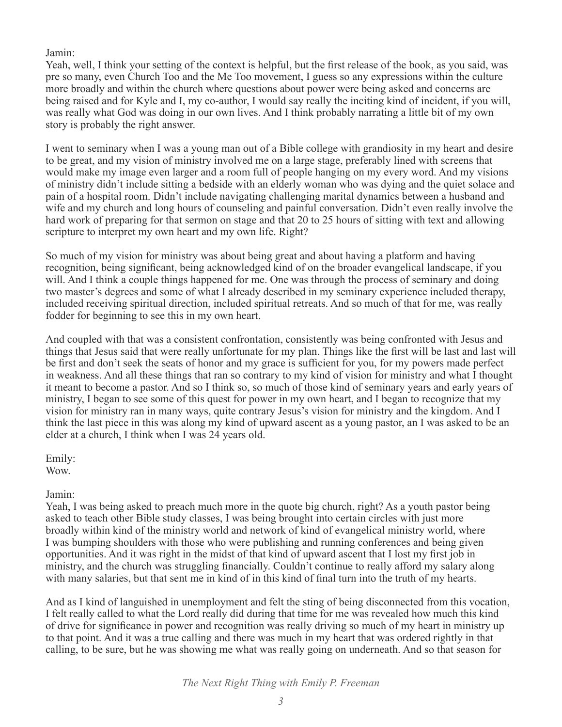Jamin:

Yeah, well, I think your setting of the context is helpful, but the first release of the book, as you said, was pre so many, even Church Too and the Me Too movement, I guess so any expressions within the culture more broadly and within the church where questions about power were being asked and concerns are being raised and for Kyle and I, my co-author, I would say really the inciting kind of incident, if you will, was really what God was doing in our own lives. And I think probably narrating a little bit of my own story is probably the right answer.

I went to seminary when I was a young man out of a Bible college with grandiosity in my heart and desire to be great, and my vision of ministry involved me on a large stage, preferably lined with screens that would make my image even larger and a room full of people hanging on my every word. And my visions of ministry didn't include sitting a bedside with an elderly woman who was dying and the quiet solace and pain of a hospital room. Didn't include navigating challenging marital dynamics between a husband and wife and my church and long hours of counseling and painful conversation. Didn't even really involve the hard work of preparing for that sermon on stage and that 20 to 25 hours of sitting with text and allowing scripture to interpret my own heart and my own life. Right?

So much of my vision for ministry was about being great and about having a platform and having recognition, being significant, being acknowledged kind of on the broader evangelical landscape, if you will. And I think a couple things happened for me. One was through the process of seminary and doing two master's degrees and some of what I already described in my seminary experience included therapy, included receiving spiritual direction, included spiritual retreats. And so much of that for me, was really fodder for beginning to see this in my own heart.

And coupled with that was a consistent confrontation, consistently was being confronted with Jesus and things that Jesus said that were really unfortunate for my plan. Things like the first will be last and last will be first and don't seek the seats of honor and my grace is sufficient for you, for my powers made perfect in weakness. And all these things that ran so contrary to my kind of vision for ministry and what I thought it meant to become a pastor. And so I think so, so much of those kind of seminary years and early years of ministry, I began to see some of this quest for power in my own heart, and I began to recognize that my vision for ministry ran in many ways, quite contrary Jesus's vision for ministry and the kingdom. And I think the last piece in this was along my kind of upward ascent as a young pastor, an I was asked to be an elder at a church, I think when I was 24 years old.

Emily: Wow.

# Jamin:

Yeah, I was being asked to preach much more in the quote big church, right? As a youth pastor being asked to teach other Bible study classes, I was being brought into certain circles with just more broadly within kind of the ministry world and network of kind of evangelical ministry world, where I was bumping shoulders with those who were publishing and running conferences and being given opportunities. And it was right in the midst of that kind of upward ascent that I lost my first job in ministry, and the church was struggling financially. Couldn't continue to really afford my salary along with many salaries, but that sent me in kind of in this kind of final turn into the truth of my hearts.

And as I kind of languished in unemployment and felt the sting of being disconnected from this vocation, I felt really called to what the Lord really did during that time for me was revealed how much this kind of drive for significance in power and recognition was really driving so much of my heart in ministry up to that point. And it was a true calling and there was much in my heart that was ordered rightly in that calling, to be sure, but he was showing me what was really going on underneath. And so that season for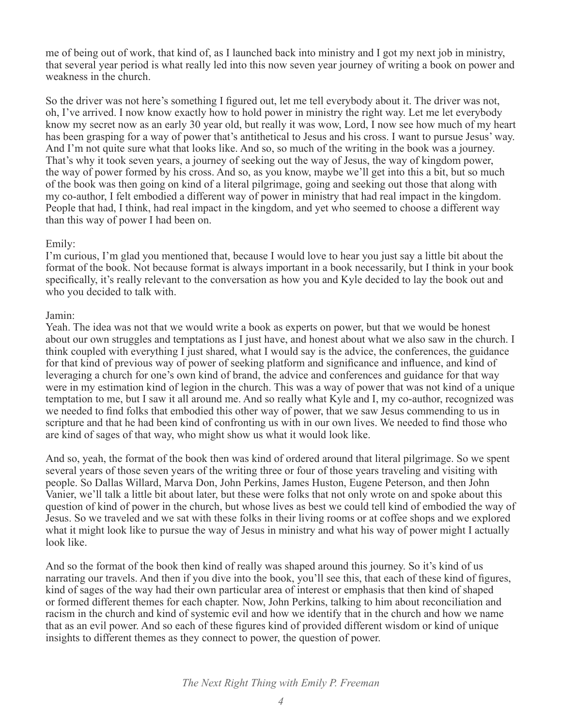me of being out of work, that kind of, as I launched back into ministry and I got my next job in ministry, that several year period is what really led into this now seven year journey of writing a book on power and weakness in the church.

So the driver was not here's something I figured out, let me tell everybody about it. The driver was not, oh, I've arrived. I now know exactly how to hold power in ministry the right way. Let me let everybody know my secret now as an early 30 year old, but really it was wow, Lord, I now see how much of my heart has been grasping for a way of power that's antithetical to Jesus and his cross. I want to pursue Jesus' way. And I'm not quite sure what that looks like. And so, so much of the writing in the book was a journey. That's why it took seven years, a journey of seeking out the way of Jesus, the way of kingdom power, the way of power formed by his cross. And so, as you know, maybe we'll get into this a bit, but so much of the book was then going on kind of a literal pilgrimage, going and seeking out those that along with my co-author, I felt embodied a different way of power in ministry that had real impact in the kingdom. People that had, I think, had real impact in the kingdom, and yet who seemed to choose a different way than this way of power I had been on.

## Emily:

I'm curious, I'm glad you mentioned that, because I would love to hear you just say a little bit about the format of the book. Not because format is always important in a book necessarily, but I think in your book specifically, it's really relevant to the conversation as how you and Kyle decided to lay the book out and who you decided to talk with.

## Jamin:

Yeah. The idea was not that we would write a book as experts on power, but that we would be honest about our own struggles and temptations as I just have, and honest about what we also saw in the church. I think coupled with everything I just shared, what I would say is the advice, the conferences, the guidance for that kind of previous way of power of seeking platform and significance and influence, and kind of leveraging a church for one's own kind of brand, the advice and conferences and guidance for that way were in my estimation kind of legion in the church. This was a way of power that was not kind of a unique temptation to me, but I saw it all around me. And so really what Kyle and I, my co-author, recognized was we needed to find folks that embodied this other way of power, that we saw Jesus commending to us in scripture and that he had been kind of confronting us with in our own lives. We needed to find those who are kind of sages of that way, who might show us what it would look like.

And so, yeah, the format of the book then was kind of ordered around that literal pilgrimage. So we spent several years of those seven years of the writing three or four of those years traveling and visiting with people. So Dallas Willard, Marva Don, John Perkins, James Huston, Eugene Peterson, and then John Vanier, we'll talk a little bit about later, but these were folks that not only wrote on and spoke about this question of kind of power in the church, but whose lives as best we could tell kind of embodied the way of Jesus. So we traveled and we sat with these folks in their living rooms or at coffee shops and we explored what it might look like to pursue the way of Jesus in ministry and what his way of power might I actually look like.

And so the format of the book then kind of really was shaped around this journey. So it's kind of us narrating our travels. And then if you dive into the book, you'll see this, that each of these kind of figures, kind of sages of the way had their own particular area of interest or emphasis that then kind of shaped or formed different themes for each chapter. Now, John Perkins, talking to him about reconciliation and racism in the church and kind of systemic evil and how we identify that in the church and how we name that as an evil power. And so each of these figures kind of provided different wisdom or kind of unique insights to different themes as they connect to power, the question of power.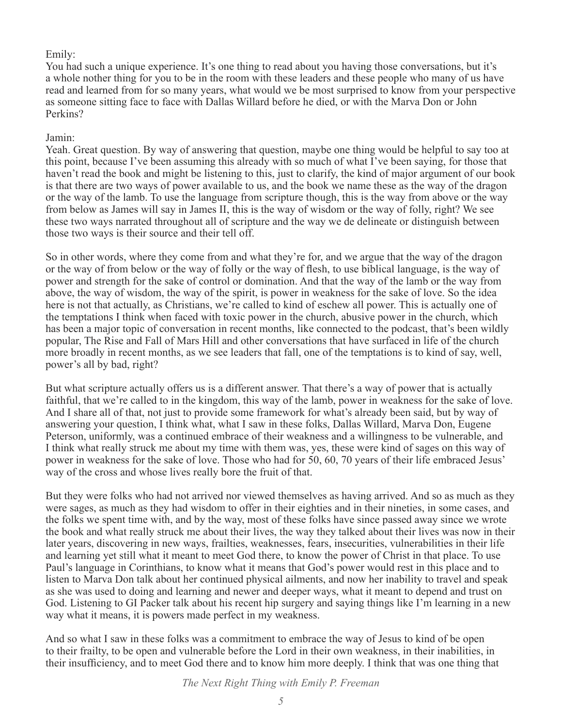# Emily:

You had such a unique experience. It's one thing to read about you having those conversations, but it's a whole nother thing for you to be in the room with these leaders and these people who many of us have read and learned from for so many years, what would we be most surprised to know from your perspective as someone sitting face to face with Dallas Willard before he died, or with the Marva Don or John Perkins?

## Jamin:

Yeah. Great question. By way of answering that question, maybe one thing would be helpful to say too at this point, because I've been assuming this already with so much of what I've been saying, for those that haven't read the book and might be listening to this, just to clarify, the kind of major argument of our book is that there are two ways of power available to us, and the book we name these as the way of the dragon or the way of the lamb. To use the language from scripture though, this is the way from above or the way from below as James will say in James II, this is the way of wisdom or the way of folly, right? We see these two ways narrated throughout all of scripture and the way we de delineate or distinguish between those two ways is their source and their tell off.

So in other words, where they come from and what they're for, and we argue that the way of the dragon or the way of from below or the way of folly or the way of flesh, to use biblical language, is the way of power and strength for the sake of control or domination. And that the way of the lamb or the way from above, the way of wisdom, the way of the spirit, is power in weakness for the sake of love. So the idea here is not that actually, as Christians, we're called to kind of eschew all power. This is actually one of the temptations I think when faced with toxic power in the church, abusive power in the church, which has been a major topic of conversation in recent months, like connected to the podcast, that's been wildly popular, The Rise and Fall of Mars Hill and other conversations that have surfaced in life of the church more broadly in recent months, as we see leaders that fall, one of the temptations is to kind of say, well, power's all by bad, right?

But what scripture actually offers us is a different answer. That there's a way of power that is actually faithful, that we're called to in the kingdom, this way of the lamb, power in weakness for the sake of love. And I share all of that, not just to provide some framework for what's already been said, but by way of answering your question, I think what, what I saw in these folks, Dallas Willard, Marva Don, Eugene Peterson, uniformly, was a continued embrace of their weakness and a willingness to be vulnerable, and I think what really struck me about my time with them was, yes, these were kind of sages on this way of power in weakness for the sake of love. Those who had for 50, 60, 70 years of their life embraced Jesus' way of the cross and whose lives really bore the fruit of that.

But they were folks who had not arrived nor viewed themselves as having arrived. And so as much as they were sages, as much as they had wisdom to offer in their eighties and in their nineties, in some cases, and the folks we spent time with, and by the way, most of these folks have since passed away since we wrote the book and what really struck me about their lives, the way they talked about their lives was now in their later years, discovering in new ways, frailties, weaknesses, fears, insecurities, vulnerabilities in their life and learning yet still what it meant to meet God there, to know the power of Christ in that place. To use Paul's language in Corinthians, to know what it means that God's power would rest in this place and to listen to Marva Don talk about her continued physical ailments, and now her inability to travel and speak as she was used to doing and learning and newer and deeper ways, what it meant to depend and trust on God. Listening to GI Packer talk about his recent hip surgery and saying things like I'm learning in a new way what it means, it is powers made perfect in my weakness.

And so what I saw in these folks was a commitment to embrace the way of Jesus to kind of be open to their frailty, to be open and vulnerable before the Lord in their own weakness, in their inabilities, in their insufficiency, and to meet God there and to know him more deeply. I think that was one thing that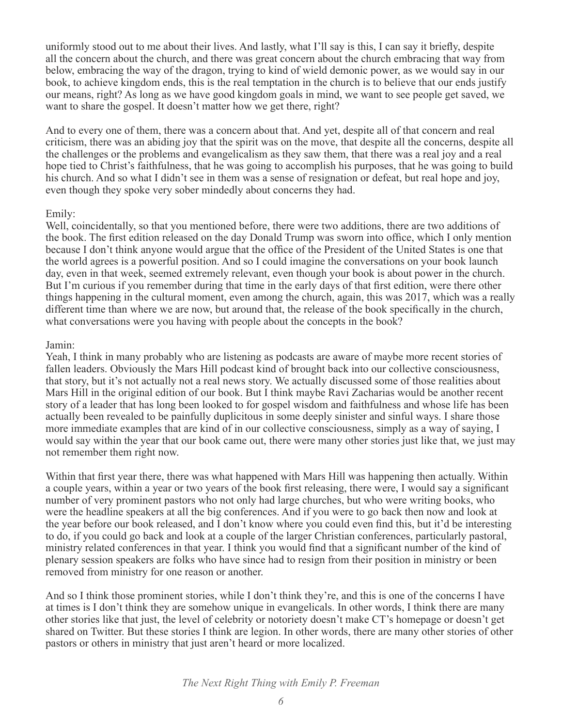uniformly stood out to me about their lives. And lastly, what I'll say is this, I can say it briefly, despite all the concern about the church, and there was great concern about the church embracing that way from below, embracing the way of the dragon, trying to kind of wield demonic power, as we would say in our book, to achieve kingdom ends, this is the real temptation in the church is to believe that our ends justify our means, right? As long as we have good kingdom goals in mind, we want to see people get saved, we want to share the gospel. It doesn't matter how we get there, right?

And to every one of them, there was a concern about that. And yet, despite all of that concern and real criticism, there was an abiding joy that the spirit was on the move, that despite all the concerns, despite all the challenges or the problems and evangelicalism as they saw them, that there was a real joy and a real hope tied to Christ's faithfulness, that he was going to accomplish his purposes, that he was going to build his church. And so what I didn't see in them was a sense of resignation or defeat, but real hope and joy, even though they spoke very sober mindedly about concerns they had.

#### Emily:

Well, coincidentally, so that you mentioned before, there were two additions, there are two additions of the book. The first edition released on the day Donald Trump was sworn into office, which I only mention because I don't think anyone would argue that the office of the President of the United States is one that the world agrees is a powerful position. And so I could imagine the conversations on your book launch day, even in that week, seemed extremely relevant, even though your book is about power in the church. But I'm curious if you remember during that time in the early days of that first edition, were there other things happening in the cultural moment, even among the church, again, this was 2017, which was a really different time than where we are now, but around that, the release of the book specifically in the church, what conversations were you having with people about the concepts in the book?

#### Jamin:

Yeah, I think in many probably who are listening as podcasts are aware of maybe more recent stories of fallen leaders. Obviously the Mars Hill podcast kind of brought back into our collective consciousness, that story, but it's not actually not a real news story. We actually discussed some of those realities about Mars Hill in the original edition of our book. But I think maybe Ravi Zacharias would be another recent story of a leader that has long been looked to for gospel wisdom and faithfulness and whose life has been actually been revealed to be painfully duplicitous in some deeply sinister and sinful ways. I share those more immediate examples that are kind of in our collective consciousness, simply as a way of saying, I would say within the year that our book came out, there were many other stories just like that, we just may not remember them right now.

Within that first year there, there was what happened with Mars Hill was happening then actually. Within a couple years, within a year or two years of the book first releasing, there were, I would say a significant number of very prominent pastors who not only had large churches, but who were writing books, who were the headline speakers at all the big conferences. And if you were to go back then now and look at the year before our book released, and I don't know where you could even find this, but it'd be interesting to do, if you could go back and look at a couple of the larger Christian conferences, particularly pastoral, ministry related conferences in that year. I think you would find that a significant number of the kind of plenary session speakers are folks who have since had to resign from their position in ministry or been removed from ministry for one reason or another.

And so I think those prominent stories, while I don't think they're, and this is one of the concerns I have at times is I don't think they are somehow unique in evangelicals. In other words, I think there are many other stories like that just, the level of celebrity or notoriety doesn't make CT's homepage or doesn't get shared on Twitter. But these stories I think are legion. In other words, there are many other stories of other pastors or others in ministry that just aren't heard or more localized.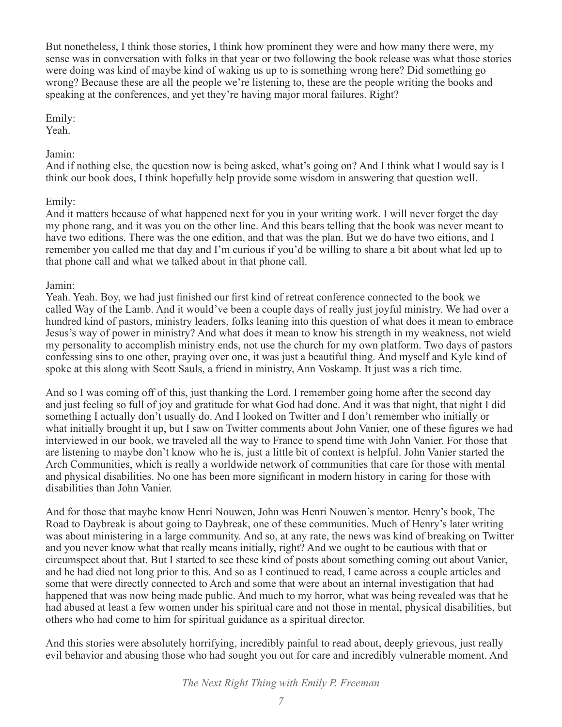But nonetheless, I think those stories, I think how prominent they were and how many there were, my sense was in conversation with folks in that year or two following the book release was what those stories were doing was kind of maybe kind of waking us up to is something wrong here? Did something go wrong? Because these are all the people we're listening to, these are the people writing the books and speaking at the conferences, and yet they're having major moral failures. Right?

#### Emily:

Yeah.

# Jamin:

And if nothing else, the question now is being asked, what's going on? And I think what I would say is I think our book does, I think hopefully help provide some wisdom in answering that question well.

# Emily:

And it matters because of what happened next for you in your writing work. I will never forget the day my phone rang, and it was you on the other line. And this bears telling that the book was never meant to have two editions. There was the one edition, and that was the plan. But we do have two eitions, and I remember you called me that day and I'm curious if you'd be willing to share a bit about what led up to that phone call and what we talked about in that phone call.

## Jamin:

Yeah. Yeah. Boy, we had just finished our first kind of retreat conference connected to the book we called Way of the Lamb. And it would've been a couple days of really just joyful ministry. We had over a hundred kind of pastors, ministry leaders, folks leaning into this question of what does it mean to embrace Jesus's way of power in ministry? And what does it mean to know his strength in my weakness, not wield my personality to accomplish ministry ends, not use the church for my own platform. Two days of pastors confessing sins to one other, praying over one, it was just a beautiful thing. And myself and Kyle kind of spoke at this along with Scott Sauls, a friend in ministry, Ann Voskamp. It just was a rich time.

And so I was coming off of this, just thanking the Lord. I remember going home after the second day and just feeling so full of joy and gratitude for what God had done. And it was that night, that night I did something I actually don't usually do. And I looked on Twitter and I don't remember who initially or what initially brought it up, but I saw on Twitter comments about John Vanier, one of these figures we had interviewed in our book, we traveled all the way to France to spend time with John Vanier. For those that are listening to maybe don't know who he is, just a little bit of context is helpful. John Vanier started the Arch Communities, which is really a worldwide network of communities that care for those with mental and physical disabilities. No one has been more significant in modern history in caring for those with disabilities than John Vanier.

And for those that maybe know Henri Nouwen, John was Henri Nouwen's mentor. Henry's book, The Road to Daybreak is about going to Daybreak, one of these communities. Much of Henry's later writing was about ministering in a large community. And so, at any rate, the news was kind of breaking on Twitter and you never know what that really means initially, right? And we ought to be cautious with that or circumspect about that. But I started to see these kind of posts about something coming out about Vanier, and he had died not long prior to this. And so as I continued to read, I came across a couple articles and some that were directly connected to Arch and some that were about an internal investigation that had happened that was now being made public. And much to my horror, what was being revealed was that he had abused at least a few women under his spiritual care and not those in mental, physical disabilities, but others who had come to him for spiritual guidance as a spiritual director.

And this stories were absolutely horrifying, incredibly painful to read about, deeply grievous, just really evil behavior and abusing those who had sought you out for care and incredibly vulnerable moment. And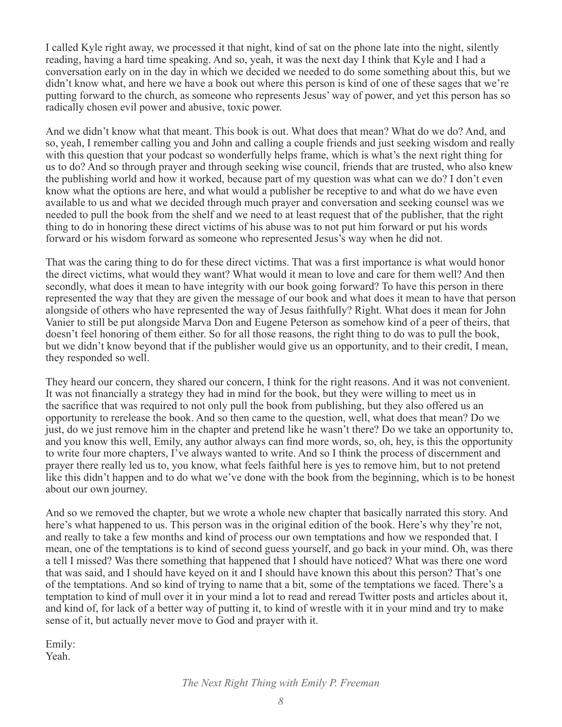I called Kyle right away, we processed it that night, kind of sat on the phone late into the night, silently reading, having a hard time speaking. And so, yeah, it was the next day I think that Kyle and I had a conversation early on in the day in which we decided we needed to do some something about this, but we didn't know what, and here we have a book out where this person is kind of one of these sages that we're putting forward to the church, as someone who represents Jesus' way of power, and yet this person has so radically chosen evil power and abusive, toxic power.

And we didn't know what that meant. This book is out. What does that mean? What do we do? And, and so, yeah, I remember calling you and John and calling a couple friends and just seeking wisdom and really with this question that your podcast so wonderfully helps frame, which is what's the next right thing for us to do? And so through prayer and through seeking wise council, friends that are trusted, who also knew the publishing world and how it worked, because part of my question was what can we do? I don't even know what the options are here, and what would a publisher be receptive to and what do we have even available to us and what we decided through much prayer and conversation and seeking counsel was we needed to pull the book from the shelf and we need to at least request that of the publisher, that the right thing to do in honoring these direct victims of his abuse was to not put him forward or put his words forward or his wisdom forward as someone who represented Jesus's way when he did not.

That was the caring thing to do for these direct victims. That was a first importance is what would honor the direct victims, what would they want? What would it mean to love and care for them well? And then secondly, what does it mean to have integrity with our book going forward? To have this person in there represented the way that they are given the message of our book and what does it mean to have that person alongside of others who have represented the way of Jesus faithfully? Right. What does it mean for John Vanier to still be put alongside Marva Don and Eugene Peterson as somehow kind of a peer of theirs, that doesn't feel honoring of them either. So for all those reasons, the right thing to do was to pull the book, but we didn't know beyond that if the publisher would give us an opportunity, and to their credit, I mean, they responded so well.

They heard our concern, they shared our concern, I think for the right reasons. And it was not convenient. It was not financially a strategy they had in mind for the book, but they were willing to meet us in the sacrifice that was required to not only pull the book from publishing, but they also offered us an opportunity to rerelease the book. And so then came to the question, well, what does that mean? Do we just, do we just remove him in the chapter and pretend like he wasn't there? Do we take an opportunity to, and you know this well, Emily, any author always can find more words, so, oh, hey, is this the opportunity to write four more chapters, I've always wanted to write. And so I think the process of discernment and prayer there really led us to, you know, what feels faithful here is yes to remove him, but to not pretend like this didn't happen and to do what we've done with the book from the beginning, which is to be honest about our own journey.

And so we removed the chapter, but we wrote a whole new chapter that basically narrated this story. And here's what happened to us. This person was in the original edition of the book. Here's why they're not, and really to take a few months and kind of process our own temptations and how we responded that. I mean, one of the temptations is to kind of second guess yourself, and go back in your mind. Oh, was there a tell I missed? Was there something that happened that I should have noticed? What was there one word that was said, and I should have keyed on it and I should have known this about this person? That's one of the temptations. And so kind of trying to name that a bit, some of the temptations we faced. There's a temptation to kind of mull over it in your mind a lot to read and reread Twitter posts and articles about it, and kind of, for lack of a better way of putting it, to kind of wrestle with it in your mind and try to make sense of it, but actually never move to God and prayer with it.

Emily: Yeah.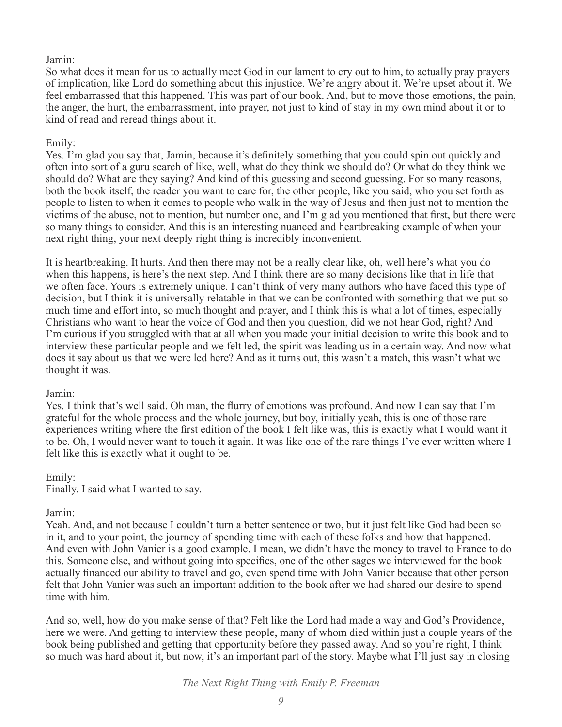# Jamin:

So what does it mean for us to actually meet God in our lament to cry out to him, to actually pray prayers of implication, like Lord do something about this injustice. We're angry about it. We're upset about it. We feel embarrassed that this happened. This was part of our book. And, but to move those emotions, the pain, the anger, the hurt, the embarrassment, into prayer, not just to kind of stay in my own mind about it or to kind of read and reread things about it.

# Emily:

Yes. I'm glad you say that, Jamin, because it's definitely something that you could spin out quickly and often into sort of a guru search of like, well, what do they think we should do? Or what do they think we should do? What are they saying? And kind of this guessing and second guessing. For so many reasons, both the book itself, the reader you want to care for, the other people, like you said, who you set forth as people to listen to when it comes to people who walk in the way of Jesus and then just not to mention the victims of the abuse, not to mention, but number one, and I'm glad you mentioned that first, but there were so many things to consider. And this is an interesting nuanced and heartbreaking example of when your next right thing, your next deeply right thing is incredibly inconvenient.

It is heartbreaking. It hurts. And then there may not be a really clear like, oh, well here's what you do when this happens, is here's the next step. And I think there are so many decisions like that in life that we often face. Yours is extremely unique. I can't think of very many authors who have faced this type of decision, but I think it is universally relatable in that we can be confronted with something that we put so much time and effort into, so much thought and prayer, and I think this is what a lot of times, especially Christians who want to hear the voice of God and then you question, did we not hear God, right? And I'm curious if you struggled with that at all when you made your initial decision to write this book and to interview these particular people and we felt led, the spirit was leading us in a certain way. And now what does it say about us that we were led here? And as it turns out, this wasn't a match, this wasn't what we thought it was.

# Jamin:

Yes. I think that's well said. Oh man, the flurry of emotions was profound. And now I can say that I'm grateful for the whole process and the whole journey, but boy, initially yeah, this is one of those rare experiences writing where the first edition of the book I felt like was, this is exactly what I would want it to be. Oh, I would never want to touch it again. It was like one of the rare things I've ever written where I felt like this is exactly what it ought to be.

#### Emily:

Finally. I said what I wanted to say.

# Jamin:

Yeah. And, and not because I couldn't turn a better sentence or two, but it just felt like God had been so in it, and to your point, the journey of spending time with each of these folks and how that happened. And even with John Vanier is a good example. I mean, we didn't have the money to travel to France to do this. Someone else, and without going into specifics, one of the other sages we interviewed for the book actually financed our ability to travel and go, even spend time with John Vanier because that other person felt that John Vanier was such an important addition to the book after we had shared our desire to spend time with him.

And so, well, how do you make sense of that? Felt like the Lord had made a way and God's Providence, here we were. And getting to interview these people, many of whom died within just a couple years of the book being published and getting that opportunity before they passed away. And so you're right, I think so much was hard about it, but now, it's an important part of the story. Maybe what I'll just say in closing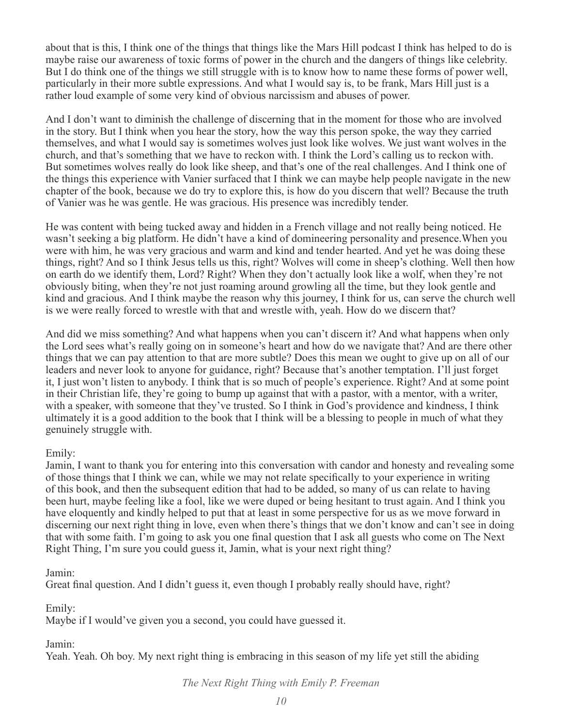about that is this, I think one of the things that things like the Mars Hill podcast I think has helped to do is maybe raise our awareness of toxic forms of power in the church and the dangers of things like celebrity. But I do think one of the things we still struggle with is to know how to name these forms of power well, particularly in their more subtle expressions. And what I would say is, to be frank, Mars Hill just is a rather loud example of some very kind of obvious narcissism and abuses of power.

And I don't want to diminish the challenge of discerning that in the moment for those who are involved in the story. But I think when you hear the story, how the way this person spoke, the way they carried themselves, and what I would say is sometimes wolves just look like wolves. We just want wolves in the church, and that's something that we have to reckon with. I think the Lord's calling us to reckon with. But sometimes wolves really do look like sheep, and that's one of the real challenges. And I think one of the things this experience with Vanier surfaced that I think we can maybe help people navigate in the new chapter of the book, because we do try to explore this, is how do you discern that well? Because the truth of Vanier was he was gentle. He was gracious. His presence was incredibly tender.

He was content with being tucked away and hidden in a French village and not really being noticed. He wasn't seeking a big platform. He didn't have a kind of domineering personality and presence.When you were with him, he was very gracious and warm and kind and tender hearted. And yet he was doing these things, right? And so I think Jesus tells us this, right? Wolves will come in sheep's clothing. Well then how on earth do we identify them, Lord? Right? When they don't actually look like a wolf, when they're not obviously biting, when they're not just roaming around growling all the time, but they look gentle and kind and gracious. And I think maybe the reason why this journey, I think for us, can serve the church well is we were really forced to wrestle with that and wrestle with, yeah. How do we discern that?

And did we miss something? And what happens when you can't discern it? And what happens when only the Lord sees what's really going on in someone's heart and how do we navigate that? And are there other things that we can pay attention to that are more subtle? Does this mean we ought to give up on all of our leaders and never look to anyone for guidance, right? Because that's another temptation. I'll just forget it, I just won't listen to anybody. I think that is so much of people's experience. Right? And at some point in their Christian life, they're going to bump up against that with a pastor, with a mentor, with a writer, with a speaker, with someone that they've trusted. So I think in God's providence and kindness, I think ultimately it is a good addition to the book that I think will be a blessing to people in much of what they genuinely struggle with.

# Emily:

Jamin, I want to thank you for entering into this conversation with candor and honesty and revealing some of those things that I think we can, while we may not relate specifically to your experience in writing of this book, and then the subsequent edition that had to be added, so many of us can relate to having been hurt, maybe feeling like a fool, like we were duped or being hesitant to trust again. And I think you have eloquently and kindly helped to put that at least in some perspective for us as we move forward in discerning our next right thing in love, even when there's things that we don't know and can't see in doing that with some faith. I'm going to ask you one final question that I ask all guests who come on The Next Right Thing, I'm sure you could guess it, Jamin, what is your next right thing?

### Jamin:

Great final question. And I didn't guess it, even though I probably really should have, right?

Emily:

Maybe if I would've given you a second, you could have guessed it.

#### Jamin:

Yeah. Yeah. Oh boy. My next right thing is embracing in this season of my life yet still the abiding